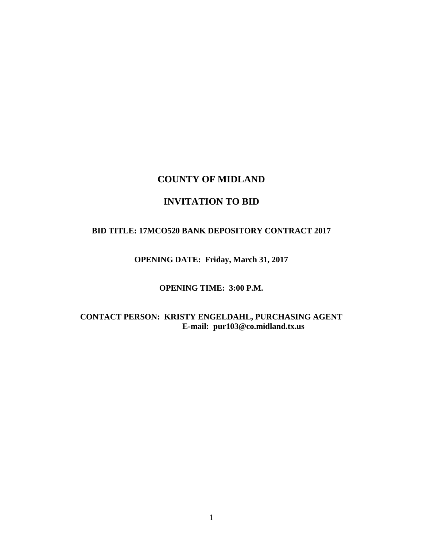# **COUNTY OF MIDLAND**

# **INVITATION TO BID**

#### **BID TITLE: 17MCO520 BANK DEPOSITORY CONTRACT 2017**

## **OPENING DATE: Friday, March 31, 2017**

## **OPENING TIME: 3:00 P.M.**

## **CONTACT PERSON: KRISTY ENGELDAHL, PURCHASING AGENT E-mail: pur103@co.midland.tx.us**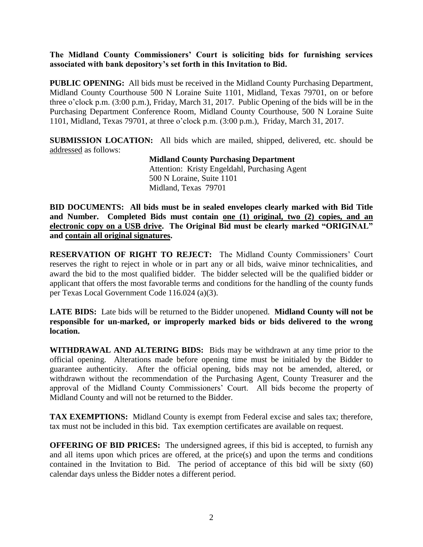**The Midland County Commissioners' Court is soliciting bids for furnishing services associated with bank depository's set forth in this Invitation to Bid.**

**PUBLIC OPENING:** All bids must be received in the Midland County Purchasing Department, Midland County Courthouse 500 N Loraine Suite 1101, Midland, Texas 79701, on or before three o'clock p.m. (3:00 p.m.), Friday, March 31, 2017. Public Opening of the bids will be in the Purchasing Department Conference Room, Midland County Courthouse, 500 N Loraine Suite 1101, Midland, Texas 79701, at three o'clock p.m. (3:00 p.m.), Friday, March 31, 2017.

**SUBMISSION LOCATION:** All bids which are mailed, shipped, delivered, etc. should be addressed as follows:

> **Midland County Purchasing Department** Attention: Kristy Engeldahl, Purchasing Agent 500 N Loraine, Suite 1101 Midland, Texas 79701

**BID DOCUMENTS: All bids must be in sealed envelopes clearly marked with Bid Title and Number. Completed Bids must contain one (1) original, two (2) copies, and an electronic copy on a USB drive. The Original Bid must be clearly marked "ORIGINAL" and contain all original signatures.**

**RESERVATION OF RIGHT TO REJECT:** The Midland County Commissioners' Court reserves the right to reject in whole or in part any or all bids, waive minor technicalities, and award the bid to the most qualified bidder. The bidder selected will be the qualified bidder or applicant that offers the most favorable terms and conditions for the handling of the county funds per Texas Local Government Code 116.024 (a)(3).

**LATE BIDS:** Late bids will be returned to the Bidder unopened. **Midland County will not be responsible for un-marked, or improperly marked bids or bids delivered to the wrong location.**

**WITHDRAWAL AND ALTERING BIDS:** Bids may be withdrawn at any time prior to the official opening. Alterations made before opening time must be initialed by the Bidder to guarantee authenticity. After the official opening, bids may not be amended, altered, or withdrawn without the recommendation of the Purchasing Agent, County Treasurer and the approval of the Midland County Commissioners' Court. All bids become the property of Midland County and will not be returned to the Bidder.

**TAX EXEMPTIONS:** Midland County is exempt from Federal excise and sales tax; therefore, tax must not be included in this bid. Tax exemption certificates are available on request.

**OFFERING OF BID PRICES:** The undersigned agrees, if this bid is accepted, to furnish any and all items upon which prices are offered, at the price(s) and upon the terms and conditions contained in the Invitation to Bid. The period of acceptance of this bid will be sixty (60) calendar days unless the Bidder notes a different period.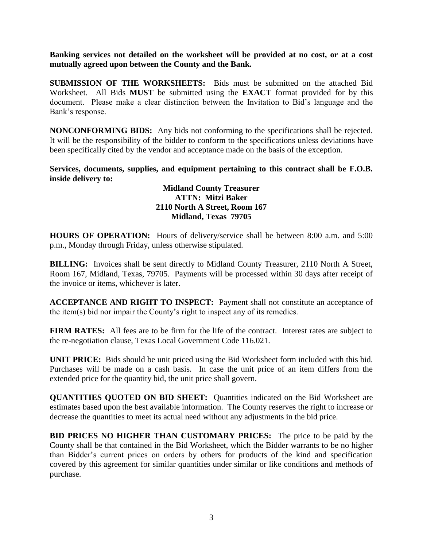**Banking services not detailed on the worksheet will be provided at no cost, or at a cost mutually agreed upon between the County and the Bank.**

**SUBMISSION OF THE WORKSHEETS:** Bids must be submitted on the attached Bid Worksheet. All Bids **MUST** be submitted using the **EXACT** format provided for by this document. Please make a clear distinction between the Invitation to Bid's language and the Bank's response.

**NONCONFORMING BIDS:** Any bids not conforming to the specifications shall be rejected. It will be the responsibility of the bidder to conform to the specifications unless deviations have been specifically cited by the vendor and acceptance made on the basis of the exception.

**Services, documents, supplies, and equipment pertaining to this contract shall be F.O.B. inside delivery to:**

> **Midland County Treasurer ATTN: Mitzi Baker 2110 North A Street, Room 167 Midland, Texas 79705**

**HOURS OF OPERATION:** Hours of delivery/service shall be between 8:00 a.m. and 5:00 p.m., Monday through Friday, unless otherwise stipulated.

**BILLING:** Invoices shall be sent directly to Midland County Treasurer, 2110 North A Street, Room 167, Midland, Texas, 79705. Payments will be processed within 30 days after receipt of the invoice or items, whichever is later.

**ACCEPTANCE AND RIGHT TO INSPECT:** Payment shall not constitute an acceptance of the item(s) bid nor impair the County's right to inspect any of its remedies.

**FIRM RATES:** All fees are to be firm for the life of the contract. Interest rates are subject to the re-negotiation clause, Texas Local Government Code 116.021.

**UNIT PRICE:** Bids should be unit priced using the Bid Worksheet form included with this bid. Purchases will be made on a cash basis. In case the unit price of an item differs from the extended price for the quantity bid, the unit price shall govern.

**QUANTITIES QUOTED ON BID SHEET:** Quantities indicated on the Bid Worksheet are estimates based upon the best available information. The County reserves the right to increase or decrease the quantities to meet its actual need without any adjustments in the bid price.

**BID PRICES NO HIGHER THAN CUSTOMARY PRICES:** The price to be paid by the County shall be that contained in the Bid Worksheet, which the Bidder warrants to be no higher than Bidder's current prices on orders by others for products of the kind and specification covered by this agreement for similar quantities under similar or like conditions and methods of purchase.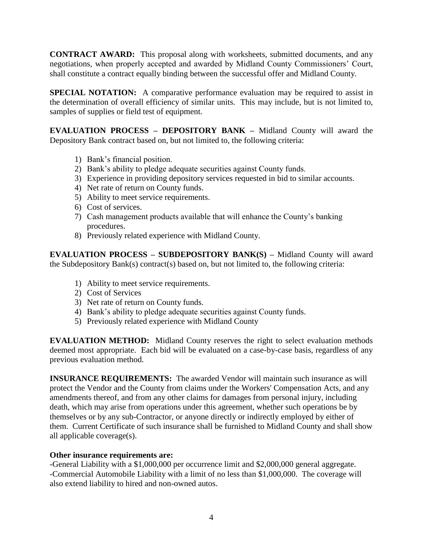**CONTRACT AWARD:** This proposal along with worksheets, submitted documents, and any negotiations, when properly accepted and awarded by Midland County Commissioners' Court, shall constitute a contract equally binding between the successful offer and Midland County.

**SPECIAL NOTATION:** A comparative performance evaluation may be required to assist in the determination of overall efficiency of similar units. This may include, but is not limited to, samples of supplies or field test of equipment.

**EVALUATION PROCESS – DEPOSITORY BANK –** Midland County will award the Depository Bank contract based on, but not limited to, the following criteria:

- 1) Bank's financial position.
- 2) Bank's ability to pledge adequate securities against County funds.
- 3) Experience in providing depository services requested in bid to similar accounts.
- 4) Net rate of return on County funds.
- 5) Ability to meet service requirements.
- 6) Cost of services.
- 7) Cash management products available that will enhance the County's banking procedures.
- 8) Previously related experience with Midland County.

**EVALUATION PROCESS – SUBDEPOSITORY BANK(S) –** Midland County will award the Subdepository Bank(s) contract(s) based on, but not limited to, the following criteria:

- 1) Ability to meet service requirements.
- 2) Cost of Services
- 3) Net rate of return on County funds.
- 4) Bank's ability to pledge adequate securities against County funds.
- 5) Previously related experience with Midland County

**EVALUATION METHOD:** Midland County reserves the right to select evaluation methods deemed most appropriate. Each bid will be evaluated on a case-by-case basis, regardless of any previous evaluation method.

**INSURANCE REQUIREMENTS:** The awarded Vendor will maintain such insurance as will protect the Vendor and the County from claims under the Workers' Compensation Acts, and any amendments thereof, and from any other claims for damages from personal injury, including death, which may arise from operations under this agreement, whether such operations be by themselves or by any sub-Contractor, or anyone directly or indirectly employed by either of them. Current Certificate of such insurance shall be furnished to Midland County and shall show all applicable coverage(s).

## **Other insurance requirements are:**

-General Liability with a \$1,000,000 per occurrence limit and \$2,000,000 general aggregate. -Commercial Automobile Liability with a limit of no less than \$1,000,000. The coverage will also extend liability to hired and non-owned autos.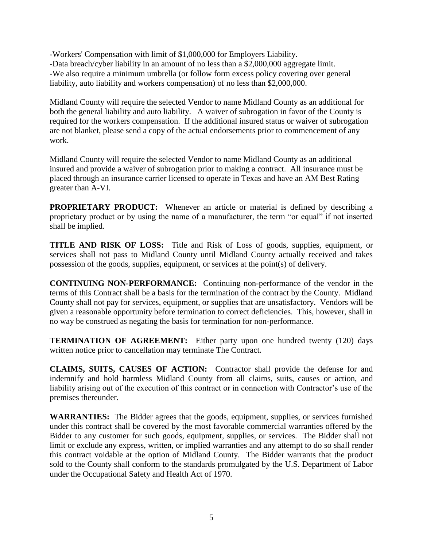-Workers' Compensation with limit of \$1,000,000 for Employers Liability. -Data breach/cyber liability in an amount of no less than a \$2,000,000 aggregate limit. -We also require a minimum umbrella (or follow form excess policy covering over general liability, auto liability and workers compensation) of no less than \$2,000,000.

Midland County will require the selected Vendor to name Midland County as an additional for both the general liability and auto liability. A waiver of subrogation in favor of the County is required for the workers compensation. If the additional insured status or waiver of subrogation are not blanket, please send a copy of the actual endorsements prior to commencement of any work.

Midland County will require the selected Vendor to name Midland County as an additional insured and provide a waiver of subrogation prior to making a contract. All insurance must be placed through an insurance carrier licensed to operate in Texas and have an AM Best Rating greater than A-VI.

**PROPRIETARY PRODUCT:** Whenever an article or material is defined by describing a proprietary product or by using the name of a manufacturer, the term "or equal" if not inserted shall be implied.

**TITLE AND RISK OF LOSS:** Title and Risk of Loss of goods, supplies, equipment, or services shall not pass to Midland County until Midland County actually received and takes possession of the goods, supplies, equipment, or services at the point(s) of delivery.

**CONTINUING NON-PERFORMANCE:** Continuing non-performance of the vendor in the terms of this Contract shall be a basis for the termination of the contract by the County. Midland County shall not pay for services, equipment, or supplies that are unsatisfactory. Vendors will be given a reasonable opportunity before termination to correct deficiencies. This, however, shall in no way be construed as negating the basis for termination for non-performance.

**TERMINATION OF AGREEMENT:** Either party upon one hundred twenty (120) days written notice prior to cancellation may terminate The Contract.

**CLAIMS, SUITS, CAUSES OF ACTION:** Contractor shall provide the defense for and indemnify and hold harmless Midland County from all claims, suits, causes or action, and liability arising out of the execution of this contract or in connection with Contractor's use of the premises thereunder.

**WARRANTIES:** The Bidder agrees that the goods, equipment, supplies, or services furnished under this contract shall be covered by the most favorable commercial warranties offered by the Bidder to any customer for such goods, equipment, supplies, or services. The Bidder shall not limit or exclude any express, written, or implied warranties and any attempt to do so shall render this contract voidable at the option of Midland County. The Bidder warrants that the product sold to the County shall conform to the standards promulgated by the U.S. Department of Labor under the Occupational Safety and Health Act of 1970.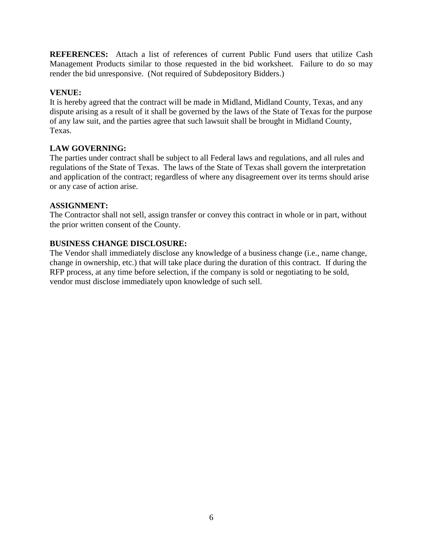**REFERENCES:** Attach a list of references of current Public Fund users that utilize Cash Management Products similar to those requested in the bid worksheet. Failure to do so may render the bid unresponsive. (Not required of Subdepository Bidders.)

## **VENUE:**

It is hereby agreed that the contract will be made in Midland, Midland County, Texas, and any dispute arising as a result of it shall be governed by the laws of the State of Texas for the purpose of any law suit, and the parties agree that such lawsuit shall be brought in Midland County, Texas.

### **LAW GOVERNING:**

The parties under contract shall be subject to all Federal laws and regulations, and all rules and regulations of the State of Texas. The laws of the State of Texas shall govern the interpretation and application of the contract; regardless of where any disagreement over its terms should arise or any case of action arise.

#### **ASSIGNMENT:**

The Contractor shall not sell, assign transfer or convey this contract in whole or in part, without the prior written consent of the County.

### **BUSINESS CHANGE DISCLOSURE:**

The Vendor shall immediately disclose any knowledge of a business change (i.e., name change, change in ownership, etc.) that will take place during the duration of this contract. If during the RFP process, at any time before selection, if the company is sold or negotiating to be sold, vendor must disclose immediately upon knowledge of such sell.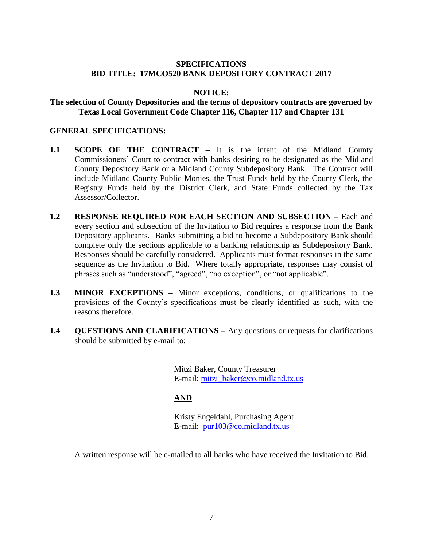## **SPECIFICATIONS BID TITLE: 17MCO520 BANK DEPOSITORY CONTRACT 2017**

### **NOTICE:**

#### **The selection of County Depositories and the terms of depository contracts are governed by Texas Local Government Code Chapter 116, Chapter 117 and Chapter 131**

#### **GENERAL SPECIFICATIONS:**

- **1.1 SCOPE OF THE CONTRACT –** It is the intent of the Midland County Commissioners' Court to contract with banks desiring to be designated as the Midland County Depository Bank or a Midland County Subdepository Bank. The Contract will include Midland County Public Monies, the Trust Funds held by the County Clerk, the Registry Funds held by the District Clerk, and State Funds collected by the Tax Assessor/Collector.
- **1.2 RESPONSE REQUIRED FOR EACH SECTION AND SUBSECTION –** Each and every section and subsection of the Invitation to Bid requires a response from the Bank Depository applicants. Banks submitting a bid to become a Subdepository Bank should complete only the sections applicable to a banking relationship as Subdepository Bank. Responses should be carefully considered. Applicants must format responses in the same sequence as the Invitation to Bid. Where totally appropriate, responses may consist of phrases such as "understood", "agreed", "no exception", or "not applicable".
- **1.3 MINOR EXCEPTIONS –** Minor exceptions, conditions, or qualifications to the provisions of the County's specifications must be clearly identified as such, with the reasons therefore.
- **1.4 QUESTIONS AND CLARIFICATIONS –** Any questions or requests for clarifications should be submitted by e-mail to:

Mitzi Baker, County Treasurer E-mail: [mitzi\\_baker@co.midland.tx.us](mailto:mitzi_baker@co.midland.tx.us)

## **AND**

Kristy Engeldahl, Purchasing Agent E-mail: [pur103@co.midland.tx.us](mailto:pur103@co.midland.tx.us)

A written response will be e-mailed to all banks who have received the Invitation to Bid.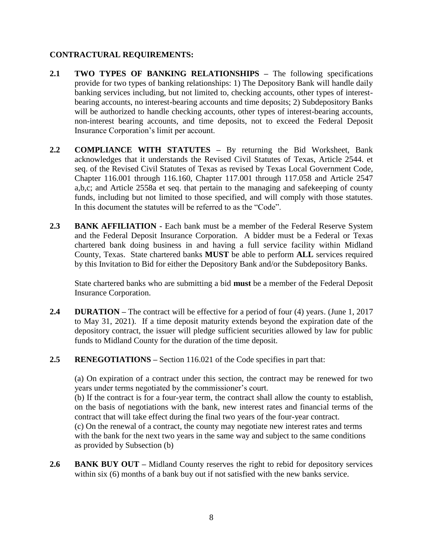## **CONTRACTURAL REQUIREMENTS:**

- **2.1 TWO TYPES OF BANKING RELATIONSHIPS –** The following specifications provide for two types of banking relationships: 1) The Depository Bank will handle daily banking services including, but not limited to, checking accounts, other types of interestbearing accounts, no interest-bearing accounts and time deposits; 2) Subdepository Banks will be authorized to handle checking accounts, other types of interest-bearing accounts, non-interest bearing accounts, and time deposits, not to exceed the Federal Deposit Insurance Corporation's limit per account.
- **2.2 COMPLIANCE WITH STATUTES –** By returning the Bid Worksheet, Bank acknowledges that it understands the Revised Civil Statutes of Texas, Article 2544. et seq. of the Revised Civil Statutes of Texas as revised by Texas Local Government Code, Chapter 116.001 through 116.160, Chapter 117.001 through 117.058 and Article 2547 a,b,c; and Article 2558a et seq. that pertain to the managing and safekeeping of county funds, including but not limited to those specified, and will comply with those statutes. In this document the statutes will be referred to as the "Code".
- **2.3 BANK AFFILIATION -** Each bank must be a member of the Federal Reserve System and the Federal Deposit Insurance Corporation. A bidder must be a Federal or Texas chartered bank doing business in and having a full service facility within Midland County, Texas. State chartered banks **MUST** be able to perform **ALL** services required by this Invitation to Bid for either the Depository Bank and/or the Subdepository Banks.

State chartered banks who are submitting a bid **must** be a member of the Federal Deposit Insurance Corporation.

- **2.4 DURATION –** The contract will be effective for a period of four (4) years. (June 1, 2017 to May 31, 2021). If a time deposit maturity extends beyond the expiration date of the depository contract, the issuer will pledge sufficient securities allowed by law for public funds to Midland County for the duration of the time deposit.
- **2.5 RENEGOTIATIONS –** Section 116.021 of the Code specifies in part that:

(a) On expiration of a contract under this section, the contract may be renewed for two years under terms negotiated by the commissioner's court.

(b) If the contract is for a four-year term, the contract shall allow the county to establish, on the basis of negotiations with the bank, new interest rates and financial terms of the contract that will take effect during the final two years of the four-year contract.

(c) On the renewal of a contract, the county may negotiate new interest rates and terms with the bank for the next two years in the same way and subject to the same conditions as provided by Subsection (b)

2.6 **BANK BUY OUT** – Midland County reserves the right to rebid for depository services within six (6) months of a bank buy out if not satisfied with the new banks service.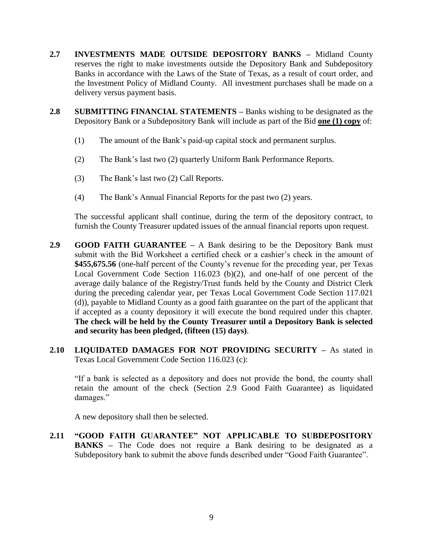- **2.7 INVESTMENTS MADE OUTSIDE DEPOSITORY BANKS –** Midland County reserves the right to make investments outside the Depository Bank and Subdepository Banks in accordance with the Laws of the State of Texas, as a result of court order, and the Investment Policy of Midland County. All investment purchases shall be made on a delivery versus payment basis.
- **2.8 SUBMITTING FINANCIAL STATEMENTS –** Banks wishing to be designated as the Depository Bank or a Subdepository Bank will include as part of the Bid **one (1) copy** of:
	- (1) The amount of the Bank's paid-up capital stock and permanent surplus.
	- (2) The Bank's last two (2) quarterly Uniform Bank Performance Reports.
	- (3) The Bank's last two (2) Call Reports.
	- (4) The Bank's Annual Financial Reports for the past two (2) years.

The successful applicant shall continue, during the term of the depository contract, to furnish the County Treasurer updated issues of the annual financial reports upon request.

- **2.9 GOOD FAITH GUARANTEE –** A Bank desiring to be the Depository Bank must submit with the Bid Worksheet a certified check or a cashier's check in the amount of **\$455,675.56** (one-half percent of the County's revenue for the preceding year, per Texas Local Government Code Section 116.023 (b)(2), and one-half of one percent of the average daily balance of the Registry/Trust funds held by the County and District Clerk during the preceding calendar year, per Texas Local Government Code Section 117.021 (d)), payable to Midland County as a good faith guarantee on the part of the applicant that if accepted as a county depository it will execute the bond required under this chapter. **The check will be held by the County Treasurer until a Depository Bank is selected and security has been pledged, (fifteen (15) days)**.
- **2.10 LIQUIDATED DAMAGES FOR NOT PROVIDING SECURITY –** As stated in Texas Local Government Code Section 116.023 (c):

"If a bank is selected as a depository and does not provide the bond, the county shall retain the amount of the check (Section 2.9 Good Faith Guarantee) as liquidated damages."

A new depository shall then be selected.

**2.11 "GOOD FAITH GUARANTEE" NOT APPLICABLE TO SUBDEPOSITORY BANKS –** The Code does not require a Bank desiring to be designated as a Subdepository bank to submit the above funds described under "Good Faith Guarantee".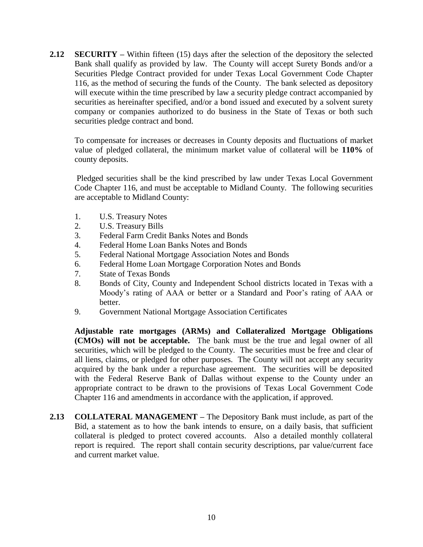**2.12 SECURITY –** Within fifteen (15) days after the selection of the depository the selected Bank shall qualify as provided by law. The County will accept Surety Bonds and/or a Securities Pledge Contract provided for under Texas Local Government Code Chapter 116, as the method of securing the funds of the County. The bank selected as depository will execute within the time prescribed by law a security pledge contract accompanied by securities as hereinafter specified, and/or a bond issued and executed by a solvent surety company or companies authorized to do business in the State of Texas or both such securities pledge contract and bond.

To compensate for increases or decreases in County deposits and fluctuations of market value of pledged collateral, the minimum market value of collateral will be **110%** of county deposits.

Pledged securities shall be the kind prescribed by law under Texas Local Government Code Chapter 116, and must be acceptable to Midland County. The following securities are acceptable to Midland County:

- 1. U.S. Treasury Notes
- 2. U.S. Treasury Bills
- 3. Federal Farm Credit Banks Notes and Bonds
- 4. Federal Home Loan Banks Notes and Bonds
- 5. Federal National Mortgage Association Notes and Bonds
- 6. Federal Home Loan Mortgage Corporation Notes and Bonds
- 7. State of Texas Bonds
- 8. Bonds of City, County and Independent School districts located in Texas with a Moody's rating of AAA or better or a Standard and Poor's rating of AAA or better.
- 9. Government National Mortgage Association Certificates

**Adjustable rate mortgages (ARMs) and Collateralized Mortgage Obligations (CMOs) will not be acceptable.** The bank must be the true and legal owner of all securities, which will be pledged to the County. The securities must be free and clear of all liens, claims, or pledged for other purposes. The County will not accept any security acquired by the bank under a repurchase agreement. The securities will be deposited with the Federal Reserve Bank of Dallas without expense to the County under an appropriate contract to be drawn to the provisions of Texas Local Government Code Chapter 116 and amendments in accordance with the application, if approved.

**2.13 COLLATERAL MANAGEMENT –** The Depository Bank must include, as part of the Bid, a statement as to how the bank intends to ensure, on a daily basis, that sufficient collateral is pledged to protect covered accounts. Also a detailed monthly collateral report is required. The report shall contain security descriptions, par value/current face and current market value.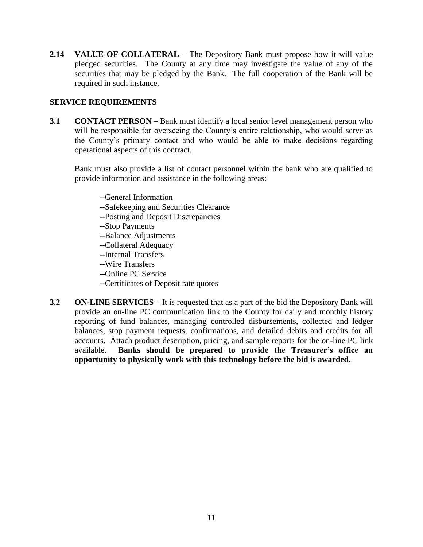**2.14 VALUE OF COLLATERAL –** The Depository Bank must propose how it will value pledged securities. The County at any time may investigate the value of any of the securities that may be pledged by the Bank. The full cooperation of the Bank will be required in such instance.

## **SERVICE REQUIREMENTS**

**3.1 CONTACT PERSON –** Bank must identify a local senior level management person who will be responsible for overseeing the County's entire relationship, who would serve as the County's primary contact and who would be able to make decisions regarding operational aspects of this contract.

Bank must also provide a list of contact personnel within the bank who are qualified to provide information and assistance in the following areas:

- --General Information
- --Safekeeping and Securities Clearance
- --Posting and Deposit Discrepancies
- --Stop Payments
- --Balance Adjustments
- --Collateral Adequacy
- --Internal Transfers
- --Wire Transfers
- --Online PC Service
- --Certificates of Deposit rate quotes
- **3.2 ON-LINE SERVICES –** It is requested that as a part of the bid the Depository Bank will provide an on-line PC communication link to the County for daily and monthly history reporting of fund balances, managing controlled disbursements, collected and ledger balances, stop payment requests, confirmations, and detailed debits and credits for all accounts. Attach product description, pricing, and sample reports for the on-line PC link available. **Banks should be prepared to provide the Treasurer's office an opportunity to physically work with this technology before the bid is awarded.**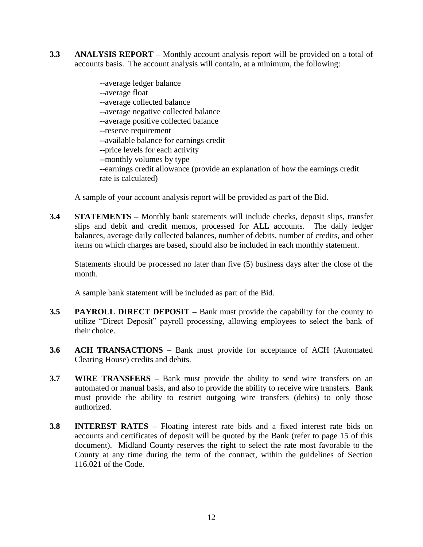**3.3 ANALYSIS REPORT –** Monthly account analysis report will be provided on a total of accounts basis. The account analysis will contain, at a minimum, the following:

> --average ledger balance --average float --average collected balance --average negative collected balance --average positive collected balance --reserve requirement --available balance for earnings credit --price levels for each activity --monthly volumes by type --earnings credit allowance (provide an explanation of how the earnings credit rate is calculated)

A sample of your account analysis report will be provided as part of the Bid.

**3.4 STATEMENTS –** Monthly bank statements will include checks, deposit slips, transfer slips and debit and credit memos, processed for ALL accounts. The daily ledger balances, average daily collected balances, number of debits, number of credits, and other items on which charges are based, should also be included in each monthly statement.

Statements should be processed no later than five (5) business days after the close of the month.

A sample bank statement will be included as part of the Bid.

- **3.5 PAYROLL DIRECT DEPOSIT –** Bank must provide the capability for the county to utilize "Direct Deposit" payroll processing, allowing employees to select the bank of their choice.
- **3.6 ACH TRANSACTIONS –** Bank must provide for acceptance of ACH (Automated Clearing House) credits and debits.
- **3.7 WIRE TRANSFERS –** Bank must provide the ability to send wire transfers on an automated or manual basis, and also to provide the ability to receive wire transfers. Bank must provide the ability to restrict outgoing wire transfers (debits) to only those authorized.
- **3.8 INTEREST RATES –** Floating interest rate bids and a fixed interest rate bids on accounts and certificates of deposit will be quoted by the Bank (refer to page 15 of this document). Midland County reserves the right to select the rate most favorable to the County at any time during the term of the contract, within the guidelines of Section 116.021 of the Code.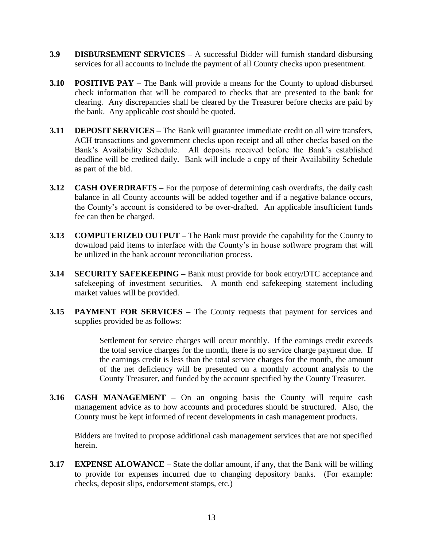- **3.9 DISBURSEMENT SERVICES –** A successful Bidder will furnish standard disbursing services for all accounts to include the payment of all County checks upon presentment.
- **3.10 POSITIVE PAY –** The Bank will provide a means for the County to upload disbursed check information that will be compared to checks that are presented to the bank for clearing. Any discrepancies shall be cleared by the Treasurer before checks are paid by the bank. Any applicable cost should be quoted.
- **3.11 DEPOSIT SERVICES –** The Bank will guarantee immediate credit on all wire transfers, ACH transactions and government checks upon receipt and all other checks based on the Bank's Availability Schedule. All deposits received before the Bank's established deadline will be credited daily. Bank will include a copy of their Availability Schedule as part of the bid.
- **3.12 CASH OVERDRAFTS –** For the purpose of determining cash overdrafts, the daily cash balance in all County accounts will be added together and if a negative balance occurs, the County's account is considered to be over-drafted. An applicable insufficient funds fee can then be charged.
- **3.13 COMPUTERIZED OUTPUT –** The Bank must provide the capability for the County to download paid items to interface with the County's in house software program that will be utilized in the bank account reconciliation process.
- **3.14 SECURITY SAFEKEEPING –** Bank must provide for book entry/DTC acceptance and safekeeping of investment securities. A month end safekeeping statement including market values will be provided.
- **3.15 PAYMENT FOR SERVICES –** The County requests that payment for services and supplies provided be as follows:

Settlement for service charges will occur monthly. If the earnings credit exceeds the total service charges for the month, there is no service charge payment due. If the earnings credit is less than the total service charges for the month, the amount of the net deficiency will be presented on a monthly account analysis to the County Treasurer, and funded by the account specified by the County Treasurer.

**3.16 CASH MANAGEMENT –** On an ongoing basis the County will require cash management advice as to how accounts and procedures should be structured. Also, the County must be kept informed of recent developments in cash management products.

Bidders are invited to propose additional cash management services that are not specified herein.

**3.17 EXPENSE ALOWANCE –** State the dollar amount, if any, that the Bank will be willing to provide for expenses incurred due to changing depository banks. (For example: checks, deposit slips, endorsement stamps, etc.)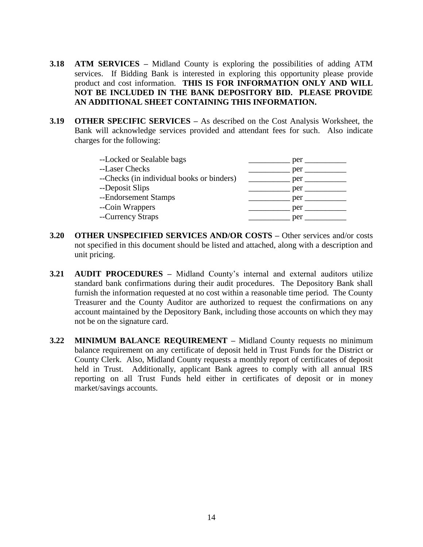- **3.18 ATM SERVICES –** Midland County is exploring the possibilities of adding ATM services. If Bidding Bank is interested in exploring this opportunity please provide product and cost information. **THIS IS FOR INFORMATION ONLY AND WILL NOT BE INCLUDED IN THE BANK DEPOSITORY BID. PLEASE PROVIDE AN ADDITIONAL SHEET CONTAINING THIS INFORMATION.**
- **3.19 OTHER SPECIFIC SERVICES –** As described on the Cost Analysis Worksheet, the Bank will acknowledge services provided and attendant fees for such. Also indicate charges for the following:

| --Locked or Sealable bags                 | per |
|-------------------------------------------|-----|
| --Laser Checks                            | per |
| --Checks (in individual books or binders) | per |
| --Deposit Slips                           | per |
| --Endorsement Stamps                      | per |
| --Coin Wrappers                           | per |
| --Currency Straps                         | per |

- **3.20 OTHER UNSPECIFIED SERVICES AND/OR COSTS –** Other services and/or costs not specified in this document should be listed and attached, along with a description and unit pricing.
- **3.21 AUDIT PROCEDURES –** Midland County's internal and external auditors utilize standard bank confirmations during their audit procedures. The Depository Bank shall furnish the information requested at no cost within a reasonable time period. The County Treasurer and the County Auditor are authorized to request the confirmations on any account maintained by the Depository Bank, including those accounts on which they may not be on the signature card.
- **3.22 MINIMUM BALANCE REQUIREMENT –** Midland County requests no minimum balance requirement on any certificate of deposit held in Trust Funds for the District or County Clerk. Also, Midland County requests a monthly report of certificates of deposit held in Trust. Additionally, applicant Bank agrees to comply with all annual IRS reporting on all Trust Funds held either in certificates of deposit or in money market/savings accounts.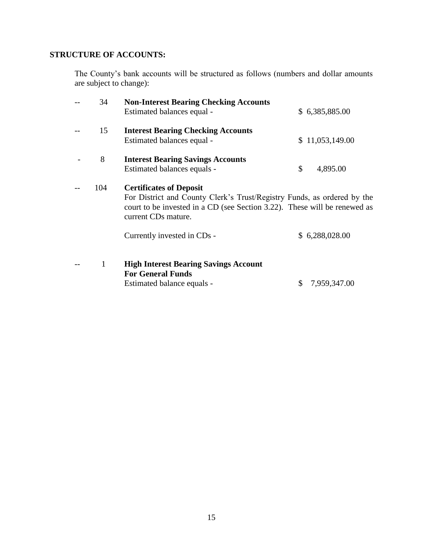# **STRUCTURE OF ACCOUNTS:**

The County's bank accounts will be structured as follows (numbers and dollar amounts are subject to change):

| 34  | <b>Non-Interest Bearing Checking Accounts</b>                                                    |                    |
|-----|--------------------------------------------------------------------------------------------------|--------------------|
|     | Estimated balances equal -                                                                       | \$6,385,885.00     |
| 15  | <b>Interest Bearing Checking Accounts</b>                                                        |                    |
|     | Estimated balances equal -                                                                       | \$11,053,149.00    |
| 8   | <b>Interest Bearing Savings Accounts</b>                                                         |                    |
|     | Estimated balances equals -                                                                      | \$<br>4,895.00     |
| 104 | <b>Certificates of Deposit</b>                                                                   |                    |
|     | For District and County Clerk's Trust/Registry Funds, as ordered by the                          |                    |
|     | court to be invested in a CD (see Section 3.22). These will be renewed as<br>current CDs mature. |                    |
|     | Currently invested in CDs -                                                                      | \$6,288,028.00     |
| 1   |                                                                                                  |                    |
|     | <b>High Interest Bearing Savings Account</b><br><b>For General Funds</b>                         |                    |
|     | Estimated balance equals -                                                                       | 7,959,347.00<br>\$ |
|     |                                                                                                  |                    |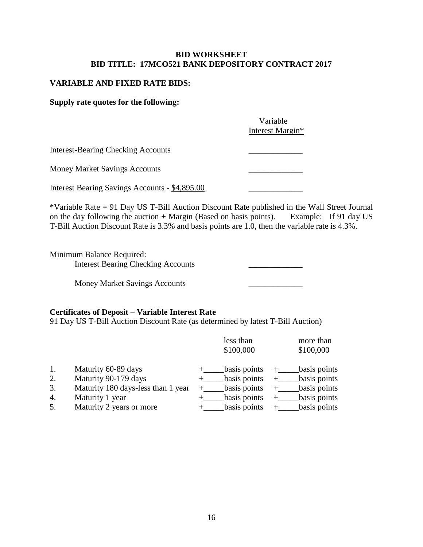#### **BID WORKSHEET BID TITLE: 17MCO521 BANK DEPOSITORY CONTRACT 2017**

#### **VARIABLE AND FIXED RATE BIDS:**

#### **Supply rate quotes for the following:**

|                                                | Variable<br>Interest Margin* |
|------------------------------------------------|------------------------------|
| <b>Interest-Bearing Checking Accounts</b>      |                              |
| <b>Money Market Savings Accounts</b>           |                              |
| Interest Bearing Savings Accounts - \$4,895.00 |                              |

\*Variable Rate = 91 Day US T-Bill Auction Discount Rate published in the Wall Street Journal on the day following the auction + Margin (Based on basis points). Example: If 91 day US T-Bill Auction Discount Rate is 3.3% and basis points are 1.0, then the variable rate is 4.3%.

Minimum Balance Required: Interest Bearing Checking Accounts \_\_\_\_\_\_\_\_\_\_\_\_\_

Money Market Savings Accounts \_\_\_\_\_\_\_\_\_\_\_\_\_

#### **Certificates of Deposit – Variable Interest Rate**

91 Day US T-Bill Auction Discount Rate (as determined by latest T-Bill Auction)

|    |                                    | less than<br>\$100,000 | more than<br>\$100,000 |
|----|------------------------------------|------------------------|------------------------|
| 1. | Maturity 60-89 days                | basis points           | basis points           |
| 2. | Maturity 90-179 days               | basis points           | basis points           |
| 3. | Maturity 180 days-less than 1 year | basis points           | basis points           |
| 4. | Maturity 1 year                    | basis points           | basis points           |
| 5. | Maturity 2 years or more           | basis points           | basis points           |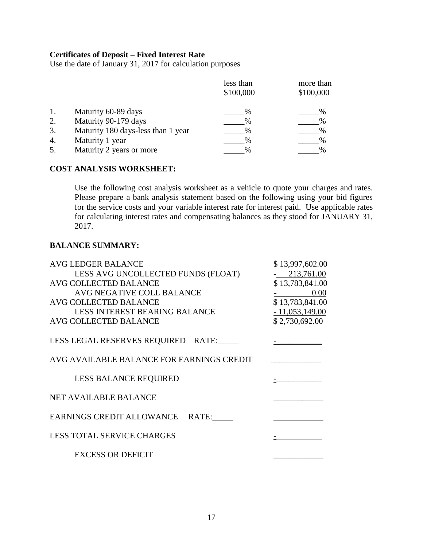### **Certificates of Deposit – Fixed Interest Rate**

Use the date of January 31, 2017 for calculation purposes

|    |                                    | less than | more than |
|----|------------------------------------|-----------|-----------|
|    |                                    | \$100,000 | \$100,000 |
|    | Maturity 60-89 days                | $\%$      | %         |
| 2. | Maturity 90-179 days               | $\%$      | $\%$      |
| 3. | Maturity 180 days-less than 1 year | $\%$      | $\%$      |
| 4. | Maturity 1 year                    | %         | %         |
| 5. | Maturity 2 years or more           | %         | %         |

## **COST ANALYSIS WORKSHEET:**

Use the following cost analysis worksheet as a vehicle to quote your charges and rates. Please prepare a bank analysis statement based on the following using your bid figures for the service costs and your variable interest rate for interest paid. Use applicable rates for calculating interest rates and compensating balances as they stood for JANUARY 31, 2017.

#### **BALANCE SUMMARY:**

| AVG LEDGER BALANCE                        | \$13,997,602.00  |
|-------------------------------------------|------------------|
| LESS AVG UNCOLLECTED FUNDS (FLOAT)        | $-213,761.00$    |
| AVG COLLECTED BALANCE                     | \$13,783,841.00  |
| AVG NEGATIVE COLL BALANCE                 | 0.00             |
| AVG COLLECTED BALANCE                     | \$13,783,841.00  |
| <b>LESS INTEREST BEARING BALANCE</b>      | $-11,053,149.00$ |
| AVG COLLECTED BALANCE                     | \$2,730,692.00   |
| LESS LEGAL RESERVES REQUIRED RATE:        |                  |
| AVG AVAILABLE BALANCE FOR EARNINGS CREDIT |                  |
| <b>LESS BALANCE REQUIRED</b>              |                  |
| <b>NET AVAILABLE BALANCE</b>              |                  |
| EARNINGS CREDIT ALLOWANCE RATE:           |                  |
| <b>LESS TOTAL SERVICE CHARGES</b>         |                  |
| <b>EXCESS OR DEFICIT</b>                  |                  |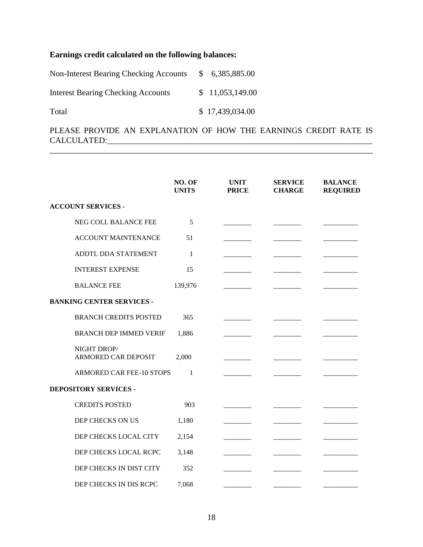# **Earnings credit calculated on the following balances:**

| Non-Interest Bearing Checking Accounts    | <sup>S</sup>    | 6,385,885.00    |
|-------------------------------------------|-----------------|-----------------|
| <b>Interest Bearing Checking Accounts</b> |                 | \$11,053,149.00 |
| Total                                     | \$17,439,034.00 |                 |

PLEASE PROVIDE AN EXPLANATION OF HOW THE EARNINGS CREDIT RATE IS CALCULATED:\_\_\_\_\_\_\_\_\_\_\_\_\_\_\_\_\_\_\_\_\_\_\_\_\_\_\_\_\_\_\_\_\_\_\_\_\_\_\_\_\_\_\_\_\_\_\_\_\_\_\_\_\_\_\_\_\_\_\_\_\_\_\_\_ \_\_\_\_\_\_\_\_\_\_\_\_\_\_\_\_\_\_\_\_\_\_\_\_\_\_\_\_\_\_\_\_\_\_\_\_\_\_\_\_\_\_\_\_\_\_\_\_\_\_\_\_\_\_\_\_\_\_\_\_\_\_\_\_\_\_\_\_\_\_\_\_\_\_\_\_\_\_

|                                           | NO. OF<br><b>UNITS</b> | <b>UNIT</b><br><b>PRICE</b> | <b>SERVICE</b><br><b>CHARGE</b> | <b>BALANCE</b><br><b>REQUIRED</b> |
|-------------------------------------------|------------------------|-----------------------------|---------------------------------|-----------------------------------|
| <b>ACCOUNT SERVICES -</b>                 |                        |                             |                                 |                                   |
| NEG COLL BALANCE FEE                      | 5                      |                             |                                 |                                   |
| <b>ACCOUNT MAINTENANCE</b>                | 51                     |                             |                                 |                                   |
| ADDTL DDA STATEMENT                       | $\mathbf{1}$           |                             |                                 |                                   |
| <b>INTEREST EXPENSE</b>                   | 15                     |                             |                                 |                                   |
| <b>BALANCE FEE</b>                        | 139,976                |                             |                                 |                                   |
| <b>BANKING CENTER SERVICES -</b>          |                        |                             |                                 |                                   |
| <b>BRANCH CREDITS POSTED</b>              | 365                    |                             |                                 |                                   |
| <b>BRANCH DEP IMMED VERIF</b>             | 1,886                  |                             |                                 |                                   |
| NIGHT DROP/<br><b>ARMORED CAR DEPOSIT</b> | 2,000                  |                             |                                 |                                   |
| ARMORED CAR FEE-10 STOPS                  | 1                      |                             |                                 |                                   |
| <b>DEPOSITORY SERVICES -</b>              |                        |                             |                                 |                                   |
| <b>CREDITS POSTED</b>                     | 903                    |                             |                                 |                                   |
| DEP CHECKS ON US                          | 1,180                  |                             |                                 |                                   |
| DEP CHECKS LOCAL CITY                     | 2,154                  |                             |                                 |                                   |
| DEP CHECKS LOCAL RCPC                     | 3,148                  |                             |                                 |                                   |
| DEP CHECKS IN DIST CITY                   | 352                    |                             |                                 |                                   |
| DEP CHECKS IN DIS RCPC                    | 7,068                  |                             |                                 |                                   |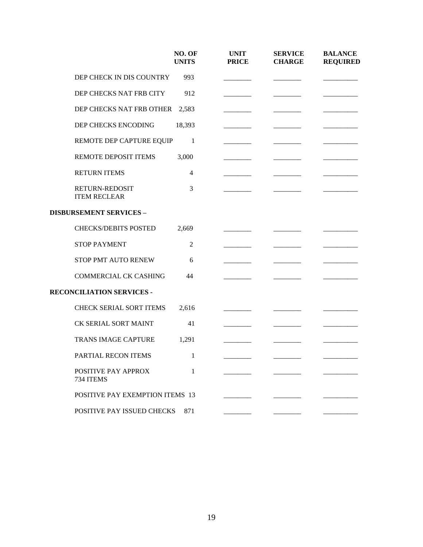|                                              | NO. OF<br><b>UNITS</b> | <b>UNIT</b><br><b>PRICE</b> | <b>SERVICE</b><br><b>CHARGE</b> | <b>BALANCE</b><br><b>REQUIRED</b> |
|----------------------------------------------|------------------------|-----------------------------|---------------------------------|-----------------------------------|
| DEP CHECK IN DIS COUNTRY                     | 993                    |                             |                                 |                                   |
| DEP CHECKS NAT FRB CITY                      | 912                    |                             |                                 |                                   |
| DEP CHECKS NAT FRB OTHER                     | 2,583                  |                             |                                 |                                   |
| DEP CHECKS ENCODING                          | 18,393                 |                             |                                 |                                   |
| REMOTE DEP CAPTURE EQUIP                     | -1                     |                             |                                 |                                   |
| REMOTE DEPOSIT ITEMS                         | 3,000                  |                             |                                 |                                   |
| <b>RETURN ITEMS</b>                          | $\overline{4}$         |                             |                                 |                                   |
| <b>RETURN-REDOSIT</b><br><b>ITEM RECLEAR</b> | 3                      |                             |                                 |                                   |
| <b>DISBURSEMENT SERVICES -</b>               |                        |                             |                                 |                                   |
| <b>CHECKS/DEBITS POSTED</b>                  | 2,669                  |                             |                                 |                                   |
| <b>STOP PAYMENT</b>                          | $\mathfrak{2}$         |                             |                                 |                                   |
| STOP PMT AUTO RENEW                          | 6                      |                             |                                 |                                   |
| <b>COMMERCIAL CK CASHING</b>                 | 44                     |                             |                                 |                                   |
| RECONCILIATION SERVICES -                    |                        |                             |                                 |                                   |
| CHECK SERIAL SORT ITEMS                      | 2,616                  |                             |                                 |                                   |
| CK SERIAL SORT MAINT                         | 41                     |                             |                                 |                                   |
| TRANS IMAGE CAPTURE                          | 1,291                  |                             |                                 |                                   |
| PARTIAL RECON ITEMS                          | $\mathbf{1}$           |                             |                                 |                                   |
| <b>POSITIVE PAY APPROX</b><br>734 ITEMS      | 1                      |                             |                                 |                                   |
| <b>POSITIVE PAY EXEMPTION ITEMS 13</b>       |                        |                             |                                 |                                   |
| POSITIVE PAY ISSUED CHECKS                   | 871                    |                             |                                 |                                   |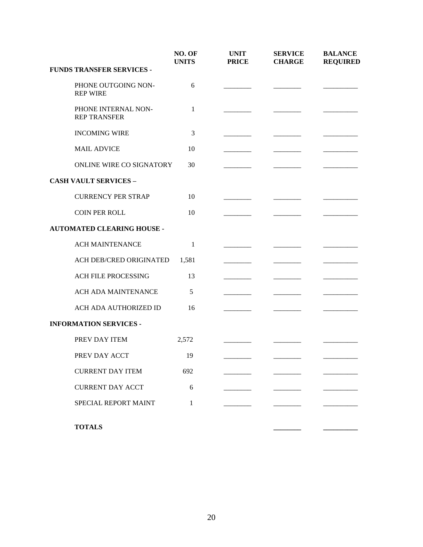|                                            | NO. OF<br><b>UNITS</b> | <b>UNIT</b><br><b>PRICE</b> | <b>SERVICE</b><br><b>CHARGE</b> | <b>BALANCE</b><br><b>REQUIRED</b> |
|--------------------------------------------|------------------------|-----------------------------|---------------------------------|-----------------------------------|
| <b>FUNDS TRANSFER SERVICES -</b>           |                        |                             |                                 |                                   |
| PHONE OUTGOING NON-<br><b>REP WIRE</b>     | 6                      |                             |                                 |                                   |
| PHONE INTERNAL NON-<br><b>REP TRANSFER</b> | 1                      |                             |                                 |                                   |
| <b>INCOMING WIRE</b>                       | 3                      |                             |                                 |                                   |
| <b>MAIL ADVICE</b>                         | 10                     |                             |                                 |                                   |
| ONLINE WIRE CO SIGNATORY                   | 30                     |                             |                                 |                                   |
| <b>CASH VAULT SERVICES -</b>               |                        |                             |                                 |                                   |
| <b>CURRENCY PER STRAP</b>                  | 10                     |                             |                                 |                                   |
| <b>COIN PER ROLL</b>                       | 10                     |                             |                                 |                                   |
| <b>AUTOMATED CLEARING HOUSE -</b>          |                        |                             |                                 |                                   |
| <b>ACH MAINTENANCE</b>                     | 1                      |                             |                                 |                                   |
| ACH DEB/CRED ORIGINATED                    | 1,581                  |                             |                                 |                                   |
| <b>ACH FILE PROCESSING</b>                 | 13                     |                             |                                 |                                   |
| ACH ADA MAINTENANCE                        | 5                      |                             |                                 |                                   |
| ACH ADA AUTHORIZED ID                      | 16                     |                             |                                 |                                   |
| <b>INFORMATION SERVICES -</b>              |                        |                             |                                 |                                   |
| PREV DAY ITEM                              | 2,572                  |                             |                                 |                                   |
| PREV DAY ACCT                              | 19                     |                             |                                 |                                   |
| <b>CURRENT DAY ITEM</b>                    | 692                    |                             |                                 |                                   |
| <b>CURRENT DAY ACCT</b>                    | 6                      |                             |                                 |                                   |
| SPECIAL REPORT MAINT                       | 1                      |                             |                                 |                                   |
|                                            |                        |                             |                                 |                                   |
| <b>TOTALS</b>                              |                        |                             |                                 |                                   |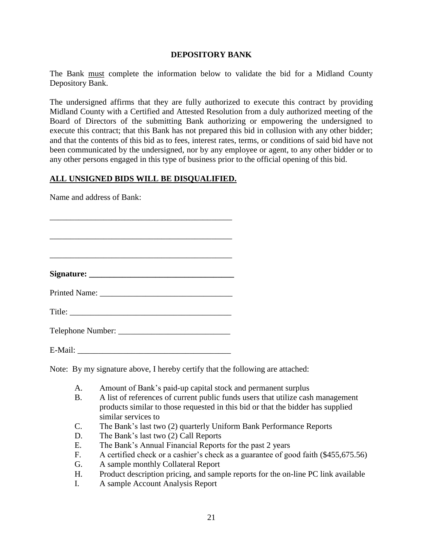#### **DEPOSITORY BANK**

The Bank must complete the information below to validate the bid for a Midland County Depository Bank.

The undersigned affirms that they are fully authorized to execute this contract by providing Midland County with a Certified and Attested Resolution from a duly authorized meeting of the Board of Directors of the submitting Bank authorizing or empowering the undersigned to execute this contract; that this Bank has not prepared this bid in collusion with any other bidder; and that the contents of this bid as to fees, interest rates, terms, or conditions of said bid have not been communicated by the undersigned, nor by any employee or agent, to any other bidder or to any other persons engaged in this type of business prior to the official opening of this bid.

## **ALL UNSIGNED BIDS WILL BE DISQUALIFIED.**

Name and address of Bank:

| E-Mail: |  |  |
|---------|--|--|

Note: By my signature above, I hereby certify that the following are attached:

- A. Amount of Bank's paid-up capital stock and permanent surplus
- B. A list of references of current public funds users that utilize cash management products similar to those requested in this bid or that the bidder has supplied similar services to
- C. The Bank's last two (2) quarterly Uniform Bank Performance Reports
- D. The Bank's last two (2) Call Reports
- E. The Bank's Annual Financial Reports for the past 2 years
- F. A certified check or a cashier's check as a guarantee of good faith (\$455,675.56)
- G. A sample monthly Collateral Report
- H. Product description pricing, and sample reports for the on-line PC link available
- I. A sample Account Analysis Report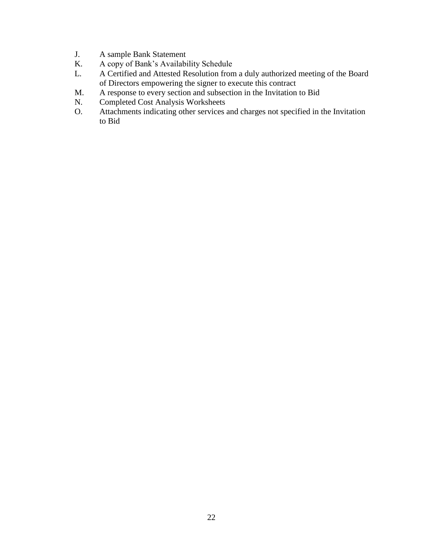- J. A sample Bank Statement
- K. A copy of Bank's Availability Schedule
- L. A Certified and Attested Resolution from a duly authorized meeting of the Board of Directors empowering the signer to execute this contract
- M. A response to every section and subsection in the Invitation to Bid N. Completed Cost Analysis Worksheets
- Completed Cost Analysis Worksheets
- O. Attachments indicating other services and charges not specified in the Invitation to Bid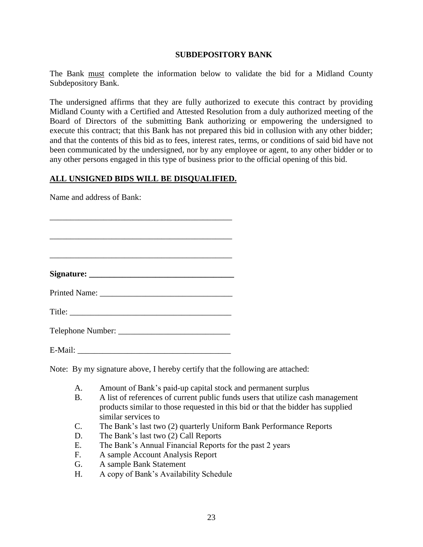#### **SUBDEPOSITORY BANK**

The Bank must complete the information below to validate the bid for a Midland County Subdepository Bank.

The undersigned affirms that they are fully authorized to execute this contract by providing Midland County with a Certified and Attested Resolution from a duly authorized meeting of the Board of Directors of the submitting Bank authorizing or empowering the undersigned to execute this contract; that this Bank has not prepared this bid in collusion with any other bidder; and that the contents of this bid as to fees, interest rates, terms, or conditions of said bid have not been communicated by the undersigned, nor by any employee or agent, to any other bidder or to any other persons engaged in this type of business prior to the official opening of this bid.

## **ALL UNSIGNED BIDS WILL BE DISQUALIFIED.**

Name and address of Bank:

| E-Mail: |  |  |
|---------|--|--|

Note: By my signature above, I hereby certify that the following are attached:

- A. Amount of Bank's paid-up capital stock and permanent surplus
- B. A list of references of current public funds users that utilize cash management products similar to those requested in this bid or that the bidder has supplied similar services to
- C. The Bank's last two (2) quarterly Uniform Bank Performance Reports
- D. The Bank's last two (2) Call Reports
- E. The Bank's Annual Financial Reports for the past 2 years
- F. A sample Account Analysis Report
- G. A sample Bank Statement
- H. A copy of Bank's Availability Schedule